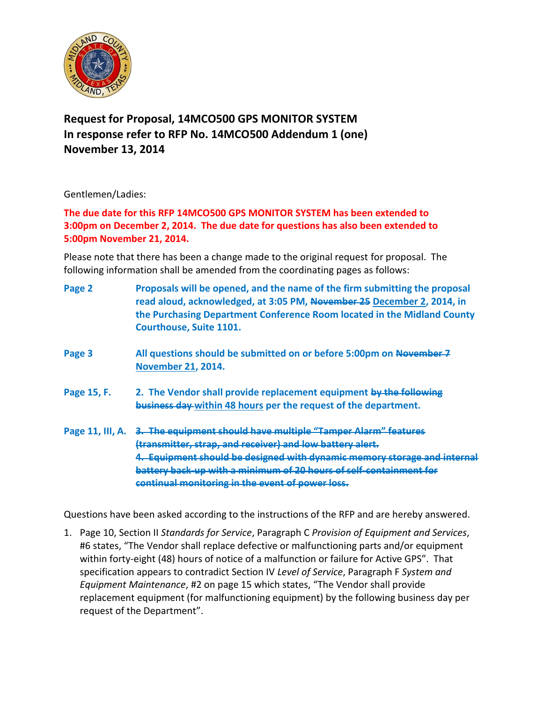

## **Request for Proposal, 14MCO500 GPS MONITOR SYSTEM In response refer to RFP No. 14MCO500 Addendum 1 (one) November 13, 2014**

Gentlemen/Ladies:

**The due date for this RFP 14MCO500 GPS MONITOR SYSTEM has been extended to 3:00pm on December 2, 2014. The due date for questions has also been extended to 5:00pm November 21, 2014.**

Please note that there has been a change made to the original request for proposal. The following information shall be amended from the coordinating pages as follows:

| Page 2           | Proposals will be opened, and the name of the firm submitting the proposal<br>read aloud, acknowledged, at 3:05 PM, November 25 December 2, 2014, in<br>the Purchasing Department Conference Room located in the Midland County<br><b>Courthouse, Suite 1101.</b>                                                                          |
|------------------|--------------------------------------------------------------------------------------------------------------------------------------------------------------------------------------------------------------------------------------------------------------------------------------------------------------------------------------------|
| Page 3           | All questions should be submitted on or before 5:00pm on November-7<br><b>November 21, 2014.</b>                                                                                                                                                                                                                                           |
| Page 15, F.      | 2. The Vendor shall provide replacement equipment by the following<br>business day within 48 hours per the request of the department.                                                                                                                                                                                                      |
| Page 11, III, A. | <del>3.The equipment should have multiple "Tamper Alarm" features</del><br>(transmitter, strap, and receiver) and low battery alert.<br>4. Equipment should be designed with dynamic memory storage and internal<br>battery back-up with a minimum of 20 hours of self-containment for<br>continual monitoring in the event of power loss. |

Questions have been asked according to the instructions of the RFP and are hereby answered.

1. Page 10, Section II *Standards for Service*, Paragraph C *Provision of Equipment and Services*, #6 states, "The Vendor shall replace defective or malfunctioning parts and/or equipment within forty-eight (48) hours of notice of a malfunction or failure for Active GPS". That specification appears to contradict Section IV *Level of Service*, Paragraph F *System and Equipment Maintenance*, #2 on page 15 which states, "The Vendor shall provide replacement equipment (for malfunctioning equipment) by the following business day per request of the Department".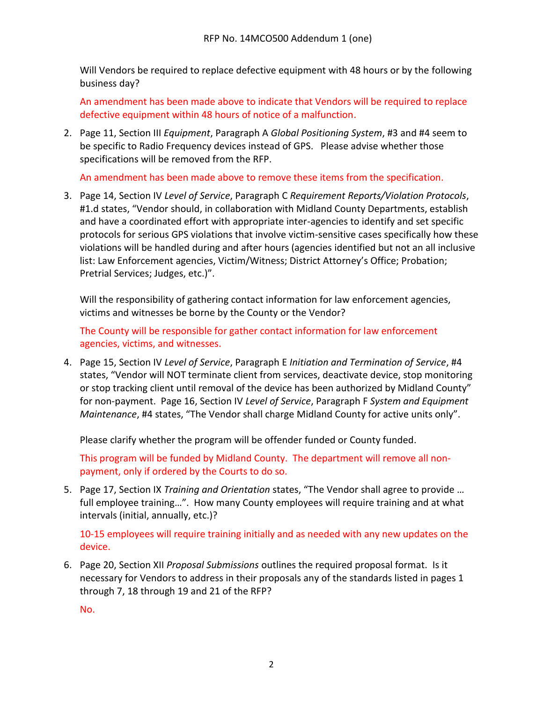Will Vendors be required to replace defective equipment with 48 hours or by the following business day?

An amendment has been made above to indicate that Vendors will be required to replace defective equipment within 48 hours of notice of a malfunction.

2. Page 11, Section III *Equipment*, Paragraph A *Global Positioning System*, #3 and #4 seem to be specific to Radio Frequency devices instead of GPS. Please advise whether those specifications will be removed from the RFP.

An amendment has been made above to remove these items from the specification.

3. Page 14, Section IV *Level of Service*, Paragraph C *Requirement Reports/Violation Protocols*, #1.d states, "Vendor should, in collaboration with Midland County Departments, establish and have a coordinated effort with appropriate inter-agencies to identify and set specific protocols for serious GPS violations that involve victim-sensitive cases specifically how these violations will be handled during and after hours (agencies identified but not an all inclusive list: Law Enforcement agencies, Victim/Witness; District Attorney's Office; Probation; Pretrial Services; Judges, etc.)".

Will the responsibility of gathering contact information for law enforcement agencies, victims and witnesses be borne by the County or the Vendor?

The County will be responsible for gather contact information for law enforcement agencies, victims, and witnesses.

4. Page 15, Section IV *Level of Service*, Paragraph E *Initiation and Termination of Service*, #4 states, "Vendor will NOT terminate client from services, deactivate device, stop monitoring or stop tracking client until removal of the device has been authorized by Midland County" for non-payment. Page 16, Section IV *Level of Service*, Paragraph F *System and Equipment Maintenance*, #4 states, "The Vendor shall charge Midland County for active units only".

Please clarify whether the program will be offender funded or County funded.

This program will be funded by Midland County. The department will remove all nonpayment, only if ordered by the Courts to do so.

5. Page 17, Section IX *Training and Orientation* states, "The Vendor shall agree to provide … full employee training…". How many County employees will require training and at what intervals (initial, annually, etc.)?

10-15 employees will require training initially and as needed with any new updates on the device.

6. Page 20, Section XII *Proposal Submissions* outlines the required proposal format. Is it necessary for Vendors to address in their proposals any of the standards listed in pages 1 through 7, 18 through 19 and 21 of the RFP?

No.